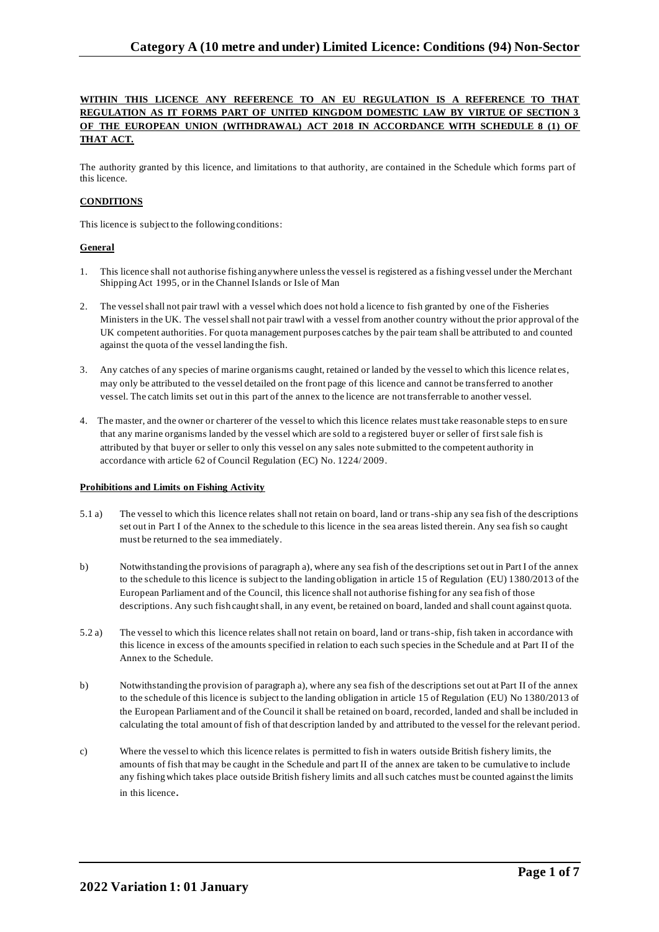# **WITHIN THIS LICENCE ANY REFERENCE TO AN EU REGULATION IS A REFERENCE TO THAT REGULATION AS IT FORMS PART OF UNITED KINGDOM DOMESTIC LAW BY VIRTUE OF SECTION 3 OF THE EUROPEAN UNION (WITHDRAWAL) ACT 2018 IN ACCORDANCE WITH SCHEDULE 8 (1) OF THAT ACT.**

The authority granted by this licence, and limitations to that authority, are contained in the Schedule which forms part of this licence.

# **CONDITIONS**

This licence is subject to the following conditions:

### **General**

- 1. This licence shall not authorise fishing anywhere unless the vessel is registered as a fishing vessel under the Merchant Shipping Act 1995, or in the Channel Islands or Isle of Man
- 2. The vessel shall not pair trawl with a vessel which does not hold a licence to fish granted by one of the Fisheries Ministers in the UK. The vessel shall not pair trawl with a vessel from another country without the prior approval of the UK competent authorities. For quota management purposes catches by the pair team shall be attributed to and counted against the quota of the vessel landing the fish.
- 3. Any catches of any species of marine organisms caught, retained or landed by the vessel to which this licence relat es, may only be attributed to the vessel detailed on the front page of this licence and cannot be transferred to another vessel. The catch limits set out in this part of the annex to the licence are not transferrable to another vessel.
- 4. The master, and the owner or charterer of the vessel to which this licence relates must take reasonable steps to en sure that any marine organisms landed by the vessel which are sold to a registered buyer or seller of first sale fish is attributed by that buyer or seller to only this vessel on any sales note submitted to the competent authority in accordance with article 62 of Council Regulation (EC) No. 1224/ 2009.

#### **Prohibitions and Limits on Fishing Activity**

- 5.1 a) The vessel to which this licence relates shall not retain on board, land or trans-ship any sea fish of the descriptions set out in Part I of the Annex to the schedule to this licence in the sea areas listed therein. Any sea fish so caught must be returned to the sea immediately.
- b) Notwithstanding the provisions of paragraph a), where any sea fish of the descriptions set out in Part I of the annex to the schedule to this licence is subject to the landing obligation in article 15 of Regulation (EU) 1380/2013 of the European Parliament and of the Council, this licence shall not authorise fishing for any sea fish of those descriptions. Any such fish caught shall, in any event, be retained on board, landed and shall count against quota.
- 5.2 a) The vessel to which this licence relates shall not retain on board, land or trans-ship, fish taken in accordance with this licence in excess of the amounts specified in relation to each such species in the Schedule and at Part II of the Annex to the Schedule.
- b) Notwithstanding the provision of paragraph a), where any sea fish of the descriptions set out at Part II of the annex to the schedule of this licence is subject to the landing obligation in article 15 of Regulation (EU) No 1380/2013 of the European Parliament and of the Council it shall be retained on board, recorded, landed and shall be included in calculating the total amount of fish of that description landed by and attributed to the vessel for the relevant period.
- c) Where the vessel to which this licence relates is permitted to fish in waters outside British fishery limits, the amounts of fish that may be caught in the Schedule and part II of the annex are taken to be cumulative to include any fishing which takes place outside British fishery limits and all such catches must be counted against the limits in this licence.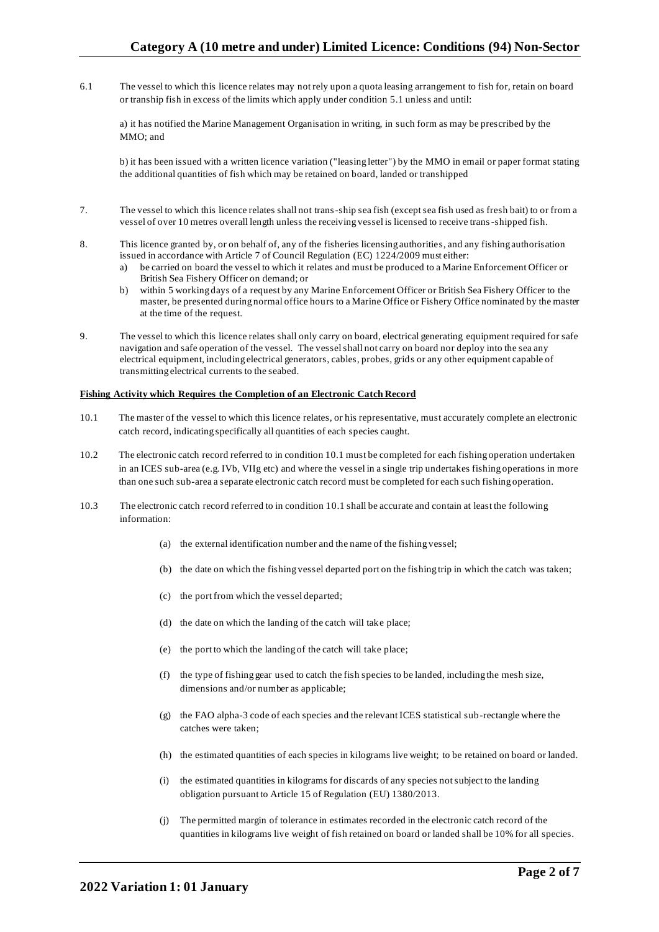6.1 The vessel to which this licence relates may not rely upon a quota leasing arrangement to fish for, retain on board or tranship fish in excess of the limits which apply under condition 5.1 unless and until:

a) it has notified the Marine Management Organisation in writing, in such form as may be prescribed by the MMO; and

b) it has been issued with a written licence variation ("leasing letter") by the MMO in email or paper format stating the additional quantities of fish which may be retained on board, landed or transhipped

- 7. The vessel to which this licence relates shall not trans-ship sea fish (except sea fish used as fresh bait) to or from a vessel of over 10 metres overall length unless the receiving vessel is licensed to receive trans-shipped fish.
- 8. This licence granted by, or on behalf of, any of the fisheries licensing authorities, and any fishing authorisation issued in accordance with Article 7 of Council Regulation (EC) 1224/2009 must either:
	- a) be carried on board the vessel to which it relates and must be produced to a Marine Enforcement Officer or British Sea Fishery Officer on demand; or
	- b) within 5 working days of a request by any Marine Enforcement Officer or British Sea Fishery Officer to the master, be presented during normal office hours to a Marine Office or Fishery Office nominated by the master at the time of the request.
- 9. The vessel to which this licence relates shall only carry on board, electrical generating equipment required for safe navigation and safe operation of the vessel. The vessel shall not carry on board nor deploy into the sea any electrical equipment, including electrical generators, cables, probes, grids or any other equipment capable of transmitting electrical currents to the seabed.

### **Fishing Activity which Requires the Completion of an Electronic Catch Record**

- 10.1 The master of the vessel to which this licence relates, or his representative, must accurately complete an electronic catch record, indicating specifically all quantities of each species caught.
- 10.2 The electronic catch record referred to in condition 10.1 must be completed for each fishing operation undertaken in an ICES sub-area (e.g. IVb, VIIg etc) and where the vessel in a single trip undertakes fishing operations in more than one such sub-area a separate electronic catch record must be completed for each such fishing operation.
- 10.3 The electronic catch record referred to in condition 10.1 shall be accurate and contain at least the following information:
	- (a) the external identification number and the name of the fishing vessel;
	- (b) the date on which the fishing vessel departed port on the fishing trip in which the catch was taken;
	- (c) the port from which the vessel departed;
	- (d) the date on which the landing of the catch will take place;
	- (e) the port to which the landing of the catch will take place;
	- (f) the type of fishing gear used to catch the fish species to be landed, including the mesh size, dimensions and/or number as applicable;
	- (g) the FAO alpha-3 code of each species and the relevant ICES statistical sub-rectangle where the catches were taken;
	- (h) the estimated quantities of each species in kilograms live weight; to be retained on board or landed.
	- (i) the estimated quantities in kilograms for discards of any species not subject to the landing obligation pursuant to Article 15 of Regulation (EU) 1380/2013.
	- (j) The permitted margin of tolerance in estimates recorded in the electronic catch record of the quantities in kilograms live weight of fish retained on board or landed shall be 10% for all species.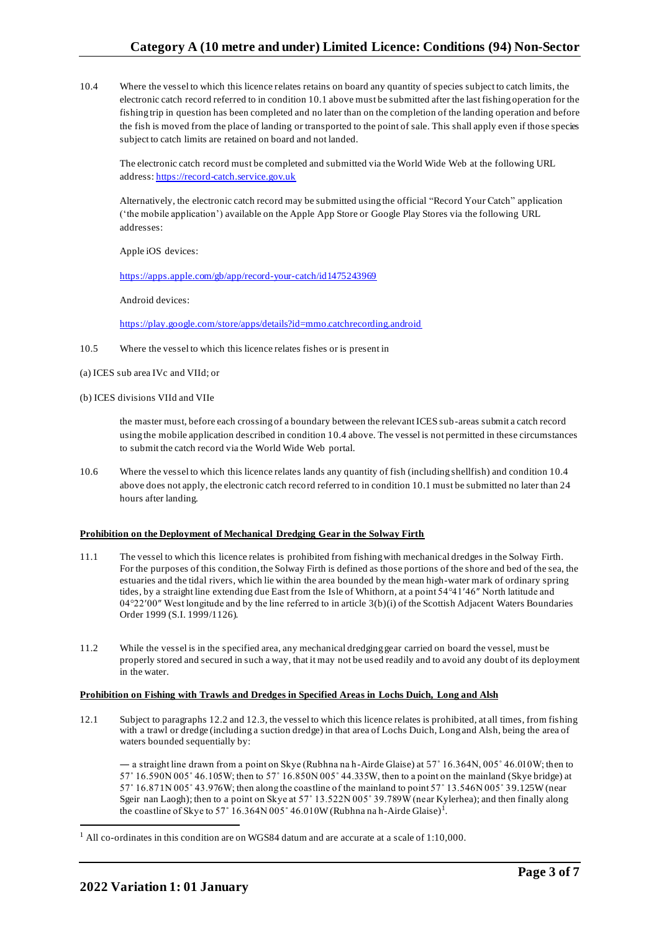10.4 Where the vessel to which this licence relates retains on board any quantity of species subject to catch limits, the electronic catch record referred to in condition 10.1 above must be submitted after the last fishing operation for the fishing trip in question has been completed and no later than on the completion of the landing operation and before the fish is moved from the place of landing or transported to the point of sale. This shall apply even if those species subject to catch limits are retained on board and not landed.

The electronic catch record must be completed and submitted via the World Wide Web at the following URL address: [https://record-catch.service.gov.uk](https://record-catch.service.gov.uk/)

Alternatively, the electronic catch record may be submitted using the official "Record Your Catch" application ('the mobile application') available on the Apple App Store or Google Play Stores via the following URL addresses:

Apple iOS devices:

#### <https://apps.apple.com/gb/app/record-your-catch/id1475243969>

Android devices:

<https://play.google.com/store/apps/details?id=mmo.catchrecording.android>

- 10.5 Where the vessel to which this licence relates fishes or is present in
- (a) ICES sub area IVc and VIId; or
- (b) ICES divisions VIId and VIIe

the master must, before each crossing of a boundary between the relevant ICES sub-areas submit a catch record using the mobile application described in condition 10.4 above. The vessel is not permitted in these circumstances to submit the catch record via the World Wide Web portal.

10.6 Where the vessel to which this licence relates lands any quantity of fish (including shellfish) and condition 10.4 above does not apply, the electronic catch record referred to in condition 10.1 must be submitted no later than 24 hours after landing.

#### **Prohibition on the Deployment of Mechanical Dredging Gear in the Solway Firth**

- 11.1 The vessel to which this licence relates is prohibited from fishing with mechanical dredges in the Solway Firth. For the purposes of this condition, the Solway Firth is defined as those portions of the shore and bed of the sea, the estuaries and the tidal rivers, which lie within the area bounded by the mean high-water mark of ordinary spring tides, by a straight line extending due East from the Isle of Whithorn, at a point 54°41′46″ North latitude and 04°22′00″ West longitude and by the line referred to in article 3(b)(i) of the Scottish Adjacent Waters Boundaries Order 1999 (S.I. 1999/1126).
- 11.2 While the vessel is in the specified area, any mechanical dredging gear carried on board the vessel, must be properly stored and secured in such a way, that it may not be used readily and to avoid any doubt of its deployment in the water.

#### **Prohibition on Fishing with Trawls and Dredges in Specified Areas in Lochs Duich, Long and Alsh**

12.1 Subject to paragraphs 12.2 and 12.3, the vessel to which this licence relates is prohibited, at all times, from fishing with a trawl or dredge (including a suction dredge) in that area of Lochs Duich, Long and Alsh, being the area of waters bounded sequentially by:

― a straight line drawn from a point on Skye (Rubhna na h-Airde Glaise) at 57˚ 16.364N, 005˚ 46.010W; then to 57˚ 16.590N 005˚ 46.105W; then to 57˚ 16.850N 005˚ 44.335W, then to a point on the mainland (Skye bridge) at 57˚ 16.871N 005˚ 43.976W; then along the coastline of the mainland to point 57˚ 13.546N 005˚ 39.125W (near Sgeir nan Laogh); then to a point on Skye at 57˚ 13.522N 005˚ 39.789W (near Kylerhea); and then finally along the coastline of Skye to 57° 16.364N 005° 46.010W (Rubhna na h-Airde Glaise)<sup>1</sup>.

 $<sup>1</sup>$  All co-ordinates in this condition are on WGS84 datum and are accurate at a scale of 1:10,000.</sup>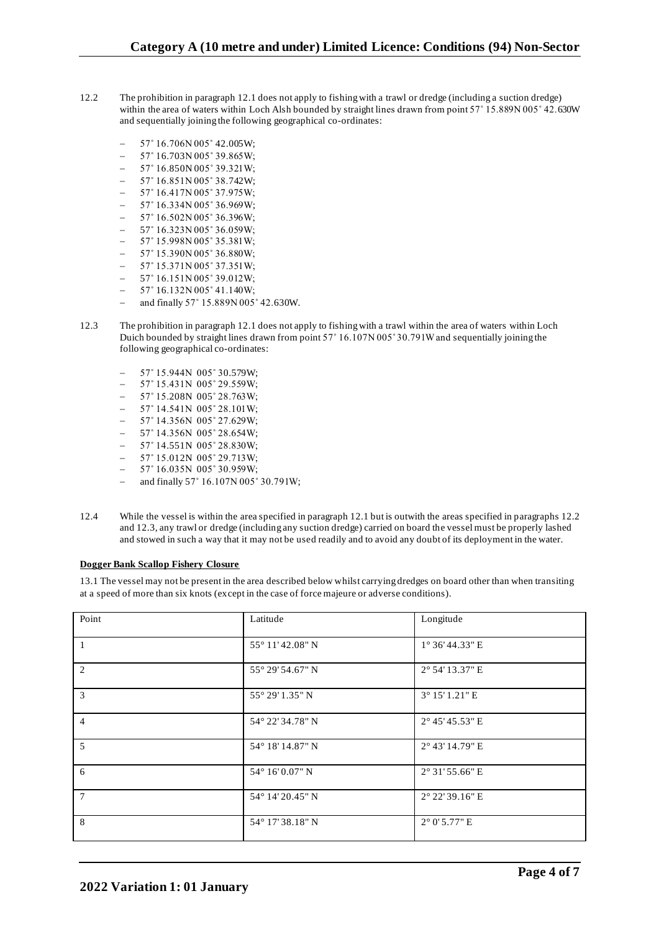- 12.2 The prohibition in paragraph 12.1 does not apply to fishing with a trawl or dredge (including a suction dredge) within the area of waters within Loch Alsh bounded by straight lines drawn from point 57° 15.889N 005° 42.630W and sequentially joining the following geographical co-ordinates:
	- − 57˚ 16.706N 005˚ 42.005W;
	- − 57˚ 16.703N 005˚ 39.865W;
	- − 57˚ 16.850N 005˚ 39.321W;
	- − 57˚ 16.851N 005˚ 38.742W;
	- − 57˚ 16.417N 005˚ 37.975W;
	- − 57˚ 16.334N 005˚ 36.969W;
	- − 57˚ 16.502N 005˚ 36.396W;
	- − 57˚ 16.323N 005˚ 36.059W;
	- − 57˚ 15.998N 005˚ 35.381W;
	- − 57˚ 15.390N 005˚ 36.880W;
	- − 57˚ 15.371N 005˚ 37.351W;
	- − 57˚ 16.151N 005˚ 39.012W; − 57˚ 16.132N 005˚ 41.140W;
	- − and finally 57˚ 15.889N 005˚ 42.630W.
- 12.3 The prohibition in paragraph 12.1 does not apply to fishing with a trawl within the area of waters within Loch Duich bounded by straight lines drawn from point 57˚ 16.107N 005˚ 30.791W and sequentially joining the following geographical co-ordinates:
	- − 57˚ 15.944N 005˚ 30.579W;
	- − 57˚ 15.431N 005˚ 29.559W;
	- 57° 15.208N 005° 28.763W;
	- − 57˚ 14.541N 005˚ 28.101W;
	- − 57˚ 14.356N 005˚ 27.629W;
	- − 57˚ 14.356N 005˚ 28.654W;
	- − 57˚ 14.551N 005˚ 28.830W;
	- − 57˚ 15.012N 005˚ 29.713W;
	- − 57˚ 16.035N 005˚ 30.959W;
	- − and finally 57˚ 16.107N 005˚ 30.791W;
- 12.4 While the vessel is within the area specified in paragraph 12.1 but is outwith the areas specified in paragraphs 12.2 and 12.3, any trawl or dredge (including any suction dredge) carried on board the vessel must be properly lashed and stowed in such a way that it may not be used readily and to avoid any doubt of its deployment in the water.

#### **Dogger Bank Scallop Fishery Closure**

13.1 The vessel may not be present in the area described below whilst carrying dredges on board other than when transiting at a speed of more than six knots (except in the case of force majeure or adverse conditions).

| Point           | Latitude         | Longitude              |
|-----------------|------------------|------------------------|
| $\overline{1}$  | 55° 11' 42.08" N | 1° 36' 44.33" E        |
| 2               | 55° 29′ 54.67" N | 2° 54' 13.37" E        |
| $\overline{3}$  | 55° 29′ 1.35" N  | 3° 15' 1.21" E         |
| $\overline{4}$  | 54° 22' 34.78" N | 2° 45' 45.53" E        |
| 5               | 54° 18' 14.87" N | 2° 43' 14.79" E        |
| 6               | 54° 16' 0.07" N  | 2° 31' 55.66" E        |
| $7\overline{ }$ | 54° 14' 20.45" N | 2° 22' 39.16" E        |
| 8               | 54° 17' 38.18" N | $2^{\circ}$ 0' 5.77" E |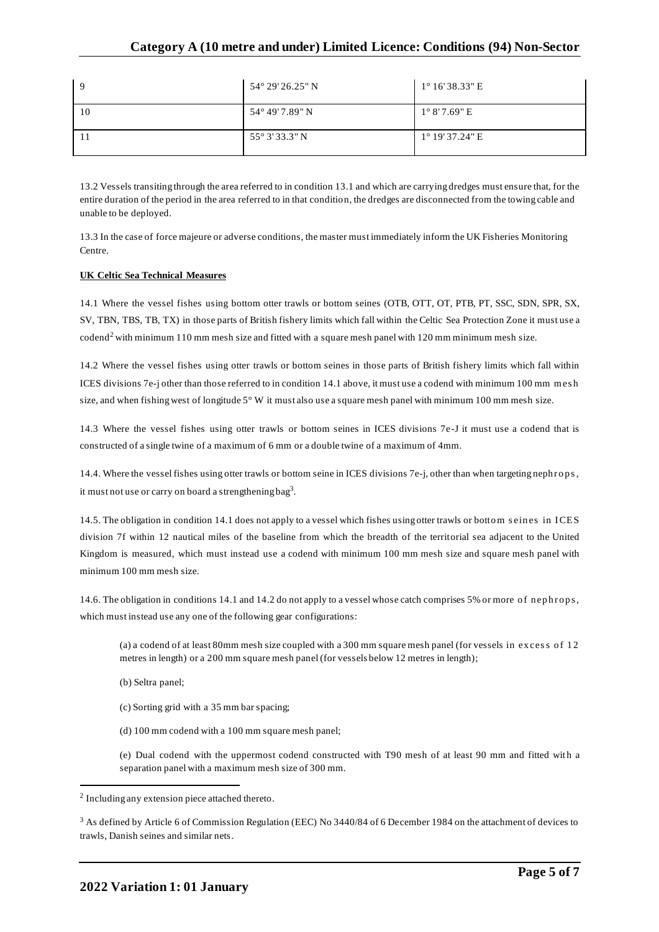| $\mathbf Q$ | $54^{\circ} 29' 26.25'' N$ | $1^{\circ} 16' 38.33''$ E |
|-------------|----------------------------|---------------------------|
| 10          | 54° 49' 7.89" N            | $1^{\circ}$ 8'7.69" E     |
|             | $55^{\circ}$ 3' 33.3" N    | $1^{\circ}$ 19' 37.24" E  |

13.2 Vessels transiting through the area referred to in condition 13.1 and which are carrying dredges must ensure that, for the entire duration of the period in the area referred to in that condition, the dredges are disconnected from the towing cable and unable to be deployed.

13.3 In the case of force majeure or adverse conditions, the master must immediately inform the UK Fisheries Monitoring Centre.

## **UK Celtic Sea Technical Measures**

14.1 Where the vessel fishes using bottom otter trawls or bottom seines (OTB, OTT, OT, PTB, PT, SSC, SDN, SPR, SX, SV, TBN, TBS, TB, TX) in those parts of British fishery limits which fall within the Celtic Sea Protection Zone it must use a codend<sup>2</sup> with minimum 110 mm mesh size and fitted with a square mesh panel with 120 mm minimum mesh size.

14.2 Where the vessel fishes using otter trawls or bottom seines in those parts of British fishery limits which fall within ICES divisions 7e-j other than those referred to in condition 14.1 above, it must use a codend with minimum 100 mm mesh size, and when fishing west of longitude  $5^{\circ}$  W it must also use a square mesh panel with minimum 100 mm mesh size.

14.3 Where the vessel fishes using otter trawls or bottom seines in ICES divisions 7e -J it must use a codend that is constructed of a single twine of a maximum of 6 mm or a double twine of a maximum of 4mm.

14.4. Where the vessel fishes using otter trawls or bottom seine in ICES divisions 7e-j, other than when targeting nephrops, it must not use or carry on board a strengthening bag<sup>3</sup>.

14.5. The obligation in condition 14.1 does not apply to a vessel which fishes using otter trawls or bottom seines in ICES division 7f within 12 nautical miles of the baseline from which the breadth of the territorial sea adjacent to the United Kingdom is measured, which must instead use a codend with minimum 100 mm mesh size and square mesh panel with minimum 100 mm mesh size.

14.6. The obligation in conditions 14.1 and 14.2 do not apply to a vessel whose catch comprises 5% or more of nephrops, which must instead use any one of the following gear configurations:

(a) a codend of at least 80mm mesh size coupled with a 300 mm square mesh panel (for vessels in excess of  $12$ metres in length) or a 200 mm square mesh panel (for vessels below 12 metres in length);

- (b) Seltra panel;
- (c) Sorting grid with a 35 mm bar spacing;
- (d) 100 mm codend with a 100 mm square mesh panel;

(e) Dual codend with the uppermost codend constructed with T90 mesh of at least 90 mm and fitted with a separation panel with a maximum mesh size of 300 mm.

<sup>&</sup>lt;sup>2</sup> Including any extension piece attached thereto.

<sup>&</sup>lt;sup>3</sup> As defined by Article 6 of Commission Regulation (EEC) No 3440/84 of 6 December 1984 on the attachment of devices to trawls, Danish seines and similar nets.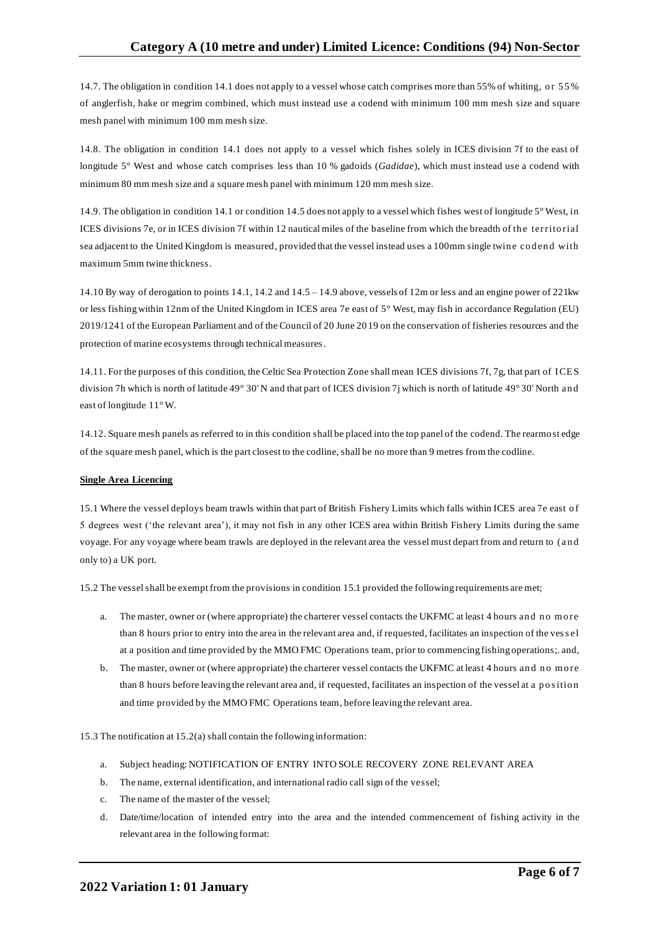14.7. The obligation in condition 14.1 does not apply to a vessel whose catch comprises more than 55% of whiting, or 55% of anglerfish, hake or megrim combined, which must instead use a codend with minimum 100 mm mesh size and square mesh panel with minimum 100 mm mesh size.

14.8. The obligation in condition 14.1 does not apply to a vessel which fishes solely in ICES division 7f to the east of longitude 5° West and whose catch comprises less than 10 % gadoids (*Gadidae*), which must instead use a codend with minimum 80 mm mesh size and a square mesh panel with minimum 120 mm mesh size.

14.9. The obligation in condition 14.1 or condition 14.5 does not apply to a vessel which fishes west of longitude 5° West, in ICES divisions 7e, or in ICES division 7f within 12 nautical miles of the baseline from which the breadth of the territorial sea adjacent to the United Kingdom is measured, provided that the vessel instead uses a 100mm single twine codend with maximum 5mm twine thickness.

14.10 By way of derogation to points 14.1, 14.2 and 14.5 – 14.9 above, vessels of 12m or less and an engine power of 221kw or less fishing within 12nm of the United Kingdom in ICES area 7e east of 5° West, may fish in accordance Regulation (EU) 2019/1241 of the European Parliament and of the Council of 20 June 20 19 on the conservation of fisheries resources and the protection of marine ecosystems through technical measures.

14.11. For the purposes of this condition, the Celtic Sea Protection Zone shall mean ICES divisions 7f, 7g, that part of ICES division 7h which is north of latitude 49° 30' N and that part of ICES division 7j which is north of latitude 49° 30' North an d east of longitude 11° W.

14.12. Square mesh panels as referred to in this condition shall be placed into the top panel of the codend. The rearmost edge of the square mesh panel, which is the part closest to the codline, shall be no more than 9 metres from the codline.

## **Single Area Licencing**

15.1 Where the vessel deploys beam trawls within that part of British Fishery Limits which falls within ICES area 7e east o f 5 degrees west ('the relevant area'), it may not fish in any other ICES area within British Fishery Limits during the same voyage. For any voyage where beam trawls are deployed in the relevant area the vessel must depart from and return to (a nd only to) a UK port.

15.2 The vessel shall be exempt from the provisions in condition 15.1 provided the following requirements are met;

- a. The master, owner or (where appropriate) the charterer vessel contacts the UKFMC at least 4 hours and no more than 8 hours prior to entry into the area in the relevant area and, if requested, facilitates an inspection of the ves s el at a position and time provided by the MMO FMC Operations team, prior to commencing fishing operations;. and,
- b. The master, owner or (where appropriate) the charterer vessel contacts the UKFMC at least 4 hours and no more than 8 hours before leaving the relevant area and, if requested, facilitates an inspection of the vessel at a position and time provided by the MMO FMC Operations team, before leaving the relevant area.

15.3 The notification at 15.2(a) shall contain the following information:

- a. Subject heading: NOTIFICATION OF ENTRY INTO SOLE RECOVERY ZONE RELEVANT AREA
- b. The name, external identification, and international radio call sign of the vessel;
- c. The name of the master of the vessel;
- d. Date/time/location of intended entry into the area and the intended commencement of fishing activity in the relevant area in the following format: